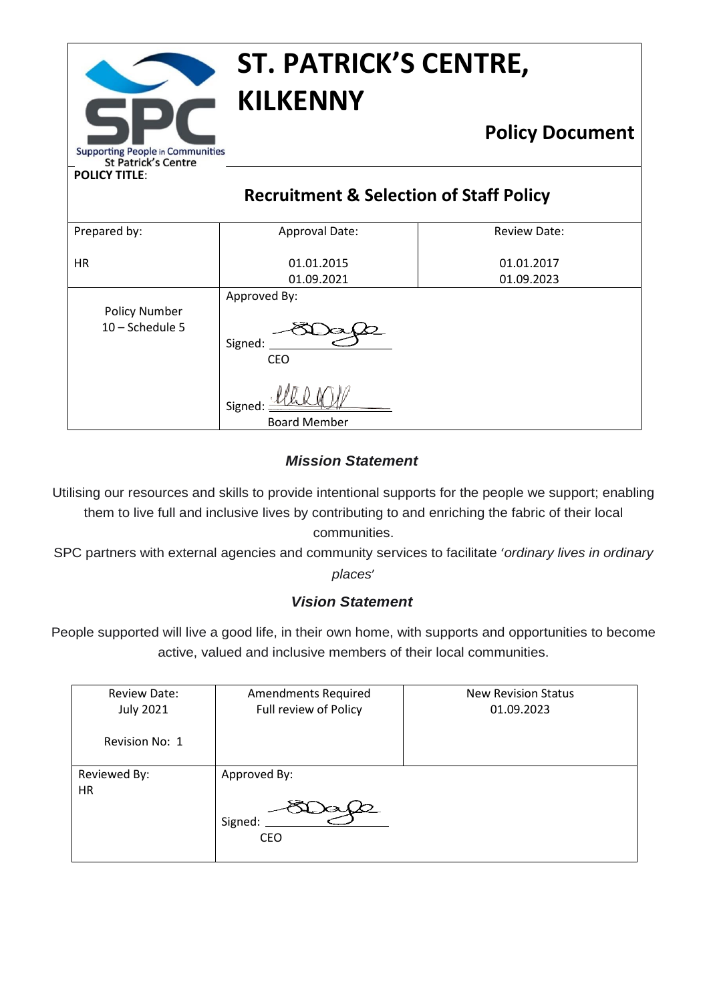|                                                                       | <b>ST. PATRICK'S CENTRE,</b><br><b>KILKENNY</b>    |                        |  |
|-----------------------------------------------------------------------|----------------------------------------------------|------------------------|--|
| <b>Supporting People in Communities</b><br><b>St Patrick's Centre</b> |                                                    | <b>Policy Document</b> |  |
| <b>POLICY TITLE:</b>                                                  |                                                    |                        |  |
|                                                                       | <b>Recruitment &amp; Selection of Staff Policy</b> |                        |  |
| Prepared by:                                                          | Approval Date:                                     | <b>Review Date:</b>    |  |
|                                                                       |                                                    |                        |  |
| <b>HR</b>                                                             | 01.01.2015                                         | 01.01.2017             |  |
|                                                                       | 01.09.2021                                         | 01.09.2023             |  |
| <b>Policy Number</b><br>10 - Schedule 5                               | Approved By:<br>Signed:<br><b>CEO</b>              |                        |  |
|                                                                       | Signed<br><b>Board Member</b>                      |                        |  |

# *Mission Statement*

Utilising our resources and skills to provide intentional supports for the people we support; enabling them to live full and inclusive lives by contributing to and enriching the fabric of their local communities.

SPC partners with external agencies and community services to facilitate '*ordinary lives in ordinary places*'

# *Vision Statement*

People supported will live a good life, in their own home, with supports and opportunities to become active, valued and inclusive members of their local communities.

| <b>Review Date:</b><br><b>July 2021</b> | <b>Amendments Required</b><br>Full review of Policy | <b>New Revision Status</b><br>01.09.2023 |
|-----------------------------------------|-----------------------------------------------------|------------------------------------------|
| Revision No: 1                          |                                                     |                                          |
| Reviewed By:<br><b>HR</b>               | Approved By:<br>Signed:<br><b>CEO</b>               |                                          |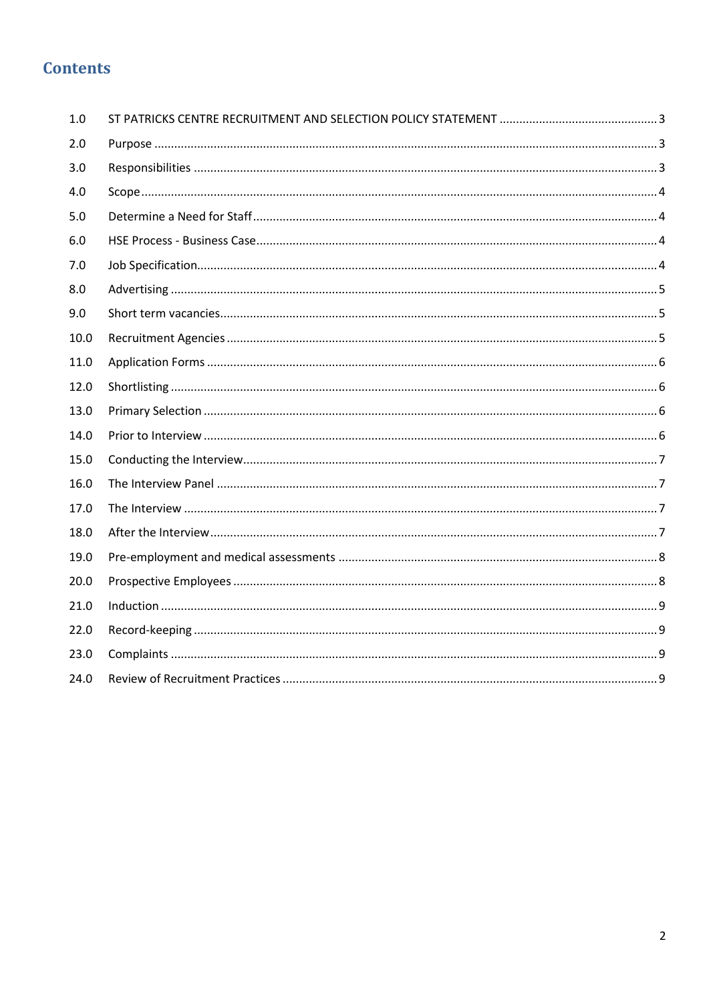# **Contents**

| 1.0  |  |
|------|--|
| 2.0  |  |
| 3.0  |  |
| 4.0  |  |
| 5.0  |  |
| 6.0  |  |
| 7.0  |  |
| 8.0  |  |
| 9.0  |  |
| 10.0 |  |
| 11.0 |  |
| 12.0 |  |
| 13.0 |  |
| 14.0 |  |
| 15.0 |  |
| 16.0 |  |
| 17.0 |  |
| 18.0 |  |
| 19.0 |  |
| 20.0 |  |
| 21.0 |  |
| 22.0 |  |
| 23.0 |  |
| 24.0 |  |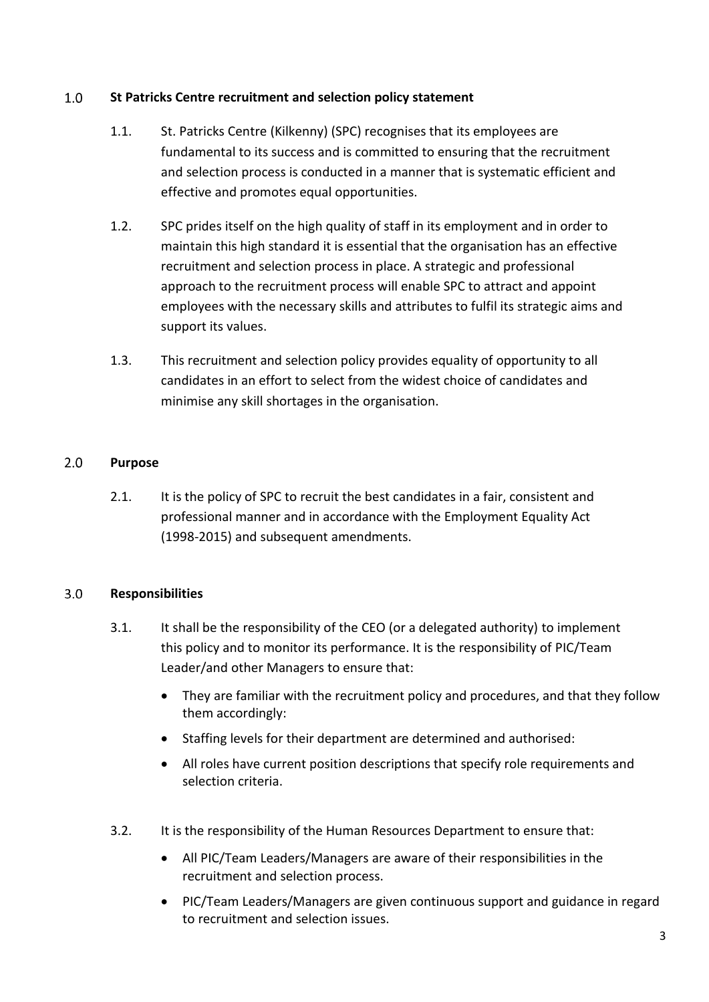# <span id="page-2-0"></span> $1.0$ **St Patricks Centre recruitment and selection policy statement**

- 1.1. St. Patricks Centre (Kilkenny) (SPC) recognises that its employees are fundamental to its success and is committed to ensuring that the recruitment and selection process is conducted in a manner that is systematic efficient and effective and promotes equal opportunities.
- 1.2. SPC prides itself on the high quality of staff in its employment and in order to maintain this high standard it is essential that the organisation has an effective recruitment and selection process in place. A strategic and professional approach to the recruitment process will enable SPC to attract and appoint employees with the necessary skills and attributes to fulfil its strategic aims and support its values.
- 1.3. This recruitment and selection policy provides equality of opportunity to all candidates in an effort to select from the widest choice of candidates and minimise any skill shortages in the organisation.

# <span id="page-2-1"></span> $2.0$ **Purpose**

2.1. It is the policy of SPC to recruit the best candidates in a fair, consistent and professional manner and in accordance with the Employment Equality Act (1998-2015) and subsequent amendments.

# <span id="page-2-2"></span> $3.0$ **Responsibilities**

- 3.1. It shall be the responsibility of the CEO (or a delegated authority) to implement this policy and to monitor its performance. It is the responsibility of PIC/Team Leader/and other Managers to ensure that:
	- They are familiar with the recruitment policy and procedures, and that they follow them accordingly:
	- Staffing levels for their department are determined and authorised:
	- All roles have current position descriptions that specify role requirements and selection criteria.
- 3.2. It is the responsibility of the Human Resources Department to ensure that:
	- All PIC/Team Leaders/Managers are aware of their responsibilities in the recruitment and selection process.
	- PIC/Team Leaders/Managers are given continuous support and guidance in regard to recruitment and selection issues.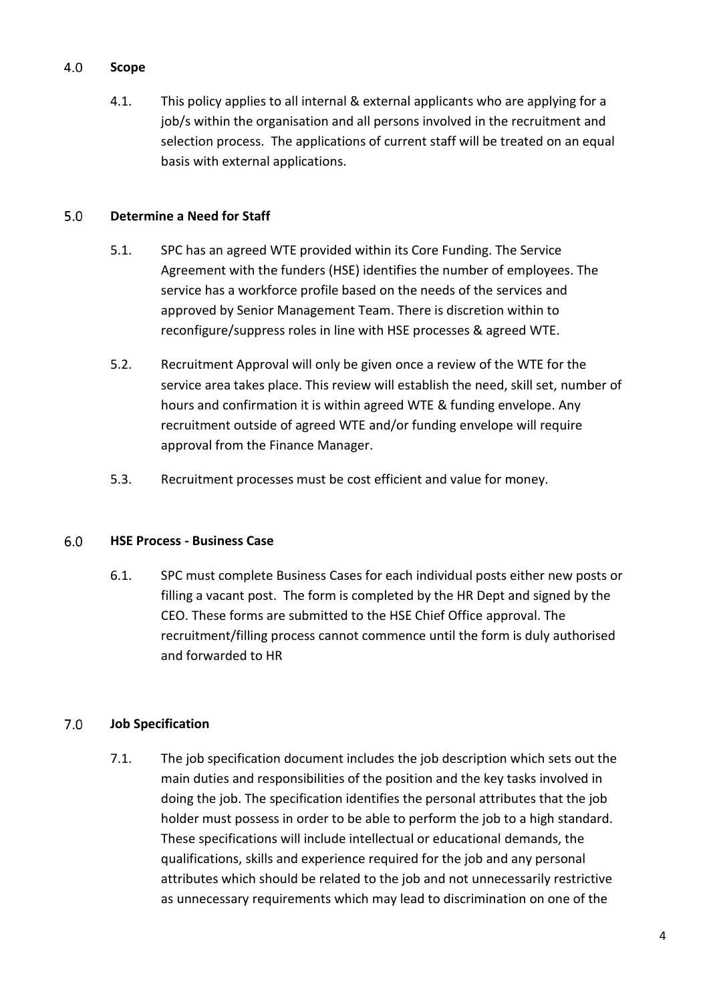# <span id="page-3-0"></span>4.0 **Scope**

4.1. This policy applies to all internal & external applicants who are applying for a job/s within the organisation and all persons involved in the recruitment and selection process. The applications of current staff will be treated on an equal basis with external applications.

# <span id="page-3-1"></span> $5.0$ **Determine a Need for Staff**

- 5.1. SPC has an agreed WTE provided within its Core Funding. The Service Agreement with the funders (HSE) identifies the number of employees. The service has a workforce profile based on the needs of the services and approved by Senior Management Team. There is discretion within to reconfigure/suppress roles in line with HSE processes & agreed WTE.
- 5.2. Recruitment Approval will only be given once a review of the WTE for the service area takes place. This review will establish the need, skill set, number of hours and confirmation it is within agreed WTE & funding envelope. Any recruitment outside of agreed WTE and/or funding envelope will require approval from the Finance Manager.
- 5.3. Recruitment processes must be cost efficient and value for money.

# <span id="page-3-2"></span> $6.0$ **HSE Process - Business Case**

6.1. SPC must complete Business Cases for each individual posts either new posts or filling a vacant post. The form is completed by the HR Dept and signed by the CEO. These forms are submitted to the HSE Chief Office approval. The recruitment/filling process cannot commence until the form is duly authorised and forwarded to HR

# <span id="page-3-3"></span> $7.0$ **Job Specification**

7.1. The job specification document includes the job description which sets out the main duties and responsibilities of the position and the key tasks involved in doing the job. The specification identifies the personal attributes that the job holder must possess in order to be able to perform the job to a high standard. These specifications will include intellectual or educational demands, the qualifications, skills and experience required for the job and any personal attributes which should be related to the job and not unnecessarily restrictive as unnecessary requirements which may lead to discrimination on one of the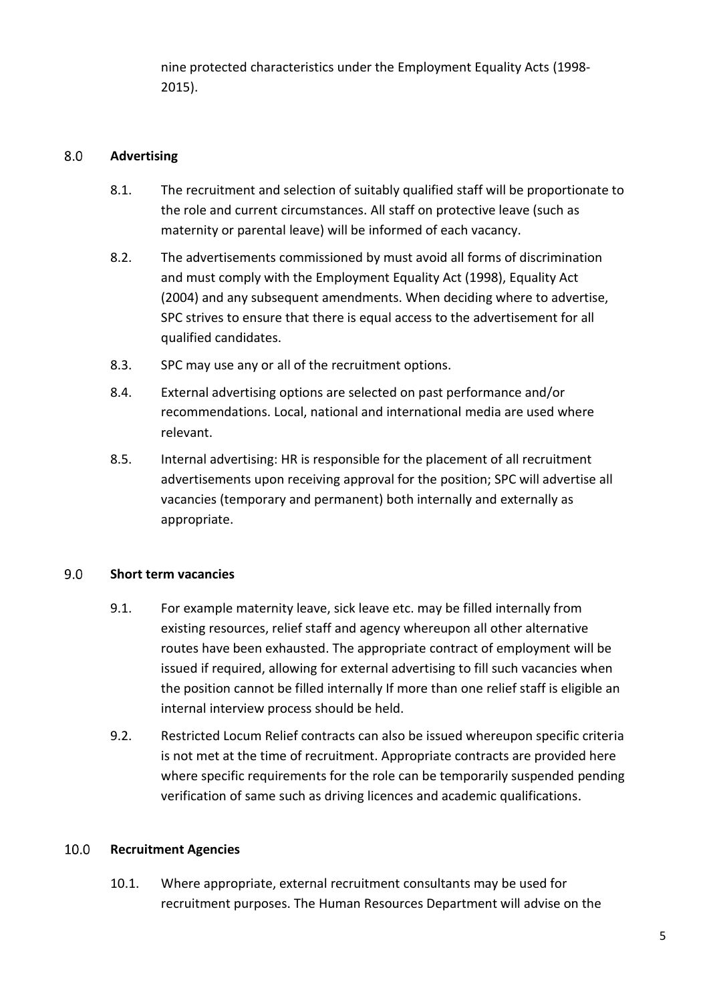nine protected characteristics under the Employment Equality Acts (1998- 2015).

# <span id="page-4-0"></span> $8.0$ **Advertising**

- 8.1. The recruitment and selection of suitably qualified staff will be proportionate to the role and current circumstances. All staff on protective leave (such as maternity or parental leave) will be informed of each vacancy.
- 8.2. The advertisements commissioned by must avoid all forms of discrimination and must comply with the Employment Equality Act (1998), Equality Act (2004) and any subsequent amendments. When deciding where to advertise, SPC strives to ensure that there is equal access to the advertisement for all qualified candidates.
- 8.3. SPC may use any or all of the recruitment options.
- 8.4. External advertising options are selected on past performance and/or recommendations. Local, national and international media are used where relevant.
- 8.5. Internal advertising: HR is responsible for the placement of all recruitment advertisements upon receiving approval for the position; SPC will advertise all vacancies (temporary and permanent) both internally and externally as appropriate.

# <span id="page-4-1"></span> $9.0$ **Short term vacancies**

- 9.1. For example maternity leave, sick leave etc. may be filled internally from existing resources, relief staff and agency whereupon all other alternative routes have been exhausted. The appropriate contract of employment will be issued if required, allowing for external advertising to fill such vacancies when the position cannot be filled internally If more than one relief staff is eligible an internal interview process should be held.
- 9.2. Restricted Locum Relief contracts can also be issued whereupon specific criteria is not met at the time of recruitment. Appropriate contracts are provided here where specific requirements for the role can be temporarily suspended pending verification of same such as driving licences and academic qualifications.

# <span id="page-4-2"></span>10.0 **Recruitment Agencies**

10.1. Where appropriate, external recruitment consultants may be used for recruitment purposes. The Human Resources Department will advise on the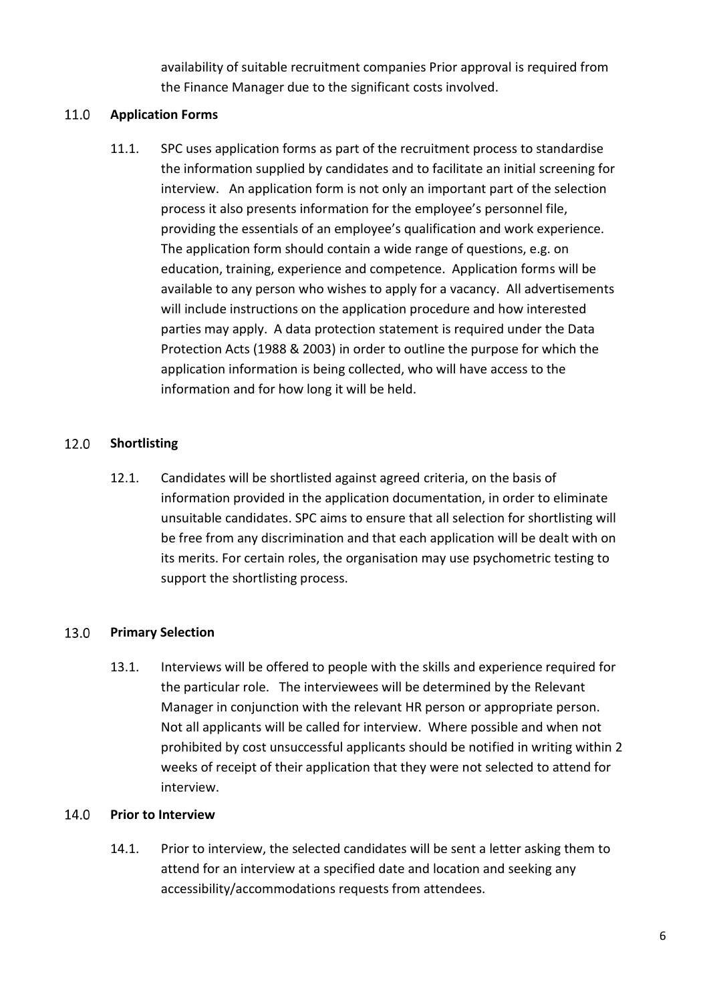availability of suitable recruitment companies Prior approval is required from the Finance Manager due to the significant costs involved.

# <span id="page-5-0"></span>11.0 **Application Forms**

11.1. SPC uses application forms as part of the recruitment process to standardise the information supplied by candidates and to facilitate an initial screening for interview. An application form is not only an important part of the selection process it also presents information for the employee's personnel file, providing the essentials of an employee's qualification and work experience. The application form should contain a wide range of questions, e.g. on education, training, experience and competence. Application forms will be available to any person who wishes to apply for a vacancy. All advertisements will include instructions on the application procedure and how interested parties may apply. A data protection statement is required under the Data Protection Acts (1988 & 2003) in order to outline the purpose for which the application information is being collected, who will have access to the information and for how long it will be held.

# <span id="page-5-1"></span>12.0 **Shortlisting**

12.1. Candidates will be shortlisted against agreed criteria, on the basis of information provided in the application documentation, in order to eliminate unsuitable candidates. SPC aims to ensure that all selection for shortlisting will be free from any discrimination and that each application will be dealt with on its merits. For certain roles, the organisation may use psychometric testing to support the shortlisting process.

# <span id="page-5-2"></span>13.0 **Primary Selection**

13.1. Interviews will be offered to people with the skills and experience required for the particular role. The interviewees will be determined by the Relevant Manager in conjunction with the relevant HR person or appropriate person. Not all applicants will be called for interview. Where possible and when not prohibited by cost unsuccessful applicants should be notified in writing within 2 weeks of receipt of their application that they were not selected to attend for interview.

# <span id="page-5-3"></span>14.0 **Prior to Interview**

14.1. Prior to interview, the selected candidates will be sent a letter asking them to attend for an interview at a specified date and location and seeking any accessibility/accommodations requests from attendees.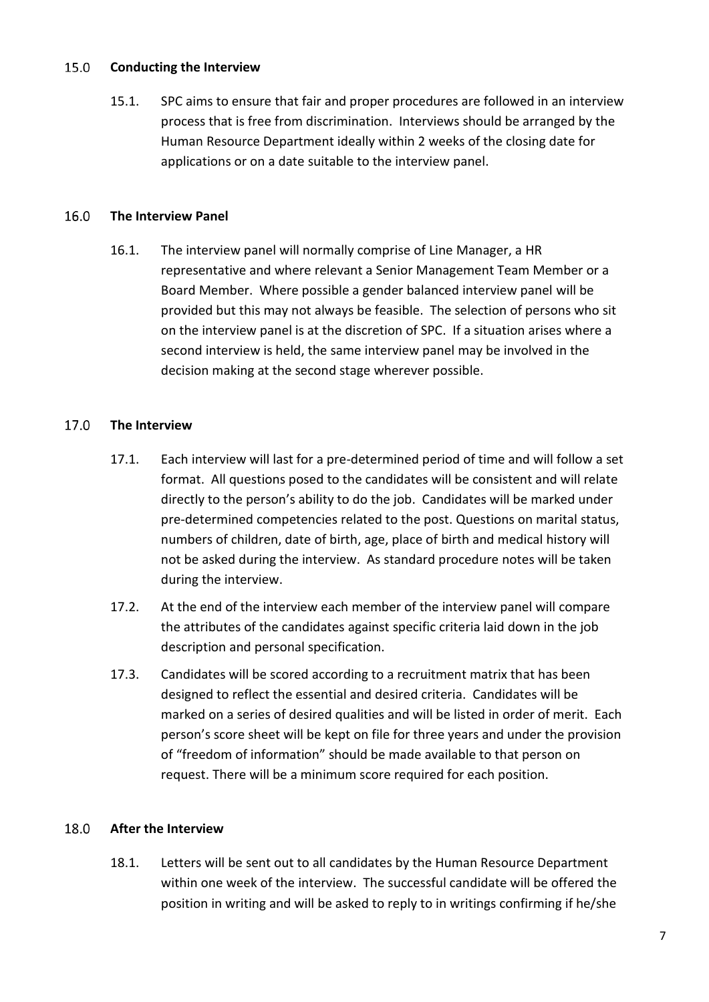#### <span id="page-6-0"></span>15.0 **Conducting the Interview**

15.1. SPC aims to ensure that fair and proper procedures are followed in an interview process that is free from discrimination. Interviews should be arranged by the Human Resource Department ideally within 2 weeks of the closing date for applications or on a date suitable to the interview panel.

#### <span id="page-6-1"></span> $16.0$ **The Interview Panel**

16.1. The interview panel will normally comprise of Line Manager, a HR representative and where relevant a Senior Management Team Member or a Board Member. Where possible a gender balanced interview panel will be provided but this may not always be feasible. The selection of persons who sit on the interview panel is at the discretion of SPC. If a situation arises where a second interview is held, the same interview panel may be involved in the decision making at the second stage wherever possible.

#### <span id="page-6-2"></span> $17.0$ **The Interview**

- 17.1. Each interview will last for a pre-determined period of time and will follow a set format. All questions posed to the candidates will be consistent and will relate directly to the person's ability to do the job. Candidates will be marked under pre-determined competencies related to the post. Questions on marital status, numbers of children, date of birth, age, place of birth and medical history will not be asked during the interview. As standard procedure notes will be taken during the interview.
- 17.2. At the end of the interview each member of the interview panel will compare the attributes of the candidates against specific criteria laid down in the job description and personal specification.
- 17.3. Candidates will be scored according to a recruitment matrix that has been designed to reflect the essential and desired criteria. Candidates will be marked on a series of desired qualities and will be listed in order of merit. Each person's score sheet will be kept on file for three years and under the provision of "freedom of information" should be made available to that person on request. There will be a minimum score required for each position.

# <span id="page-6-3"></span>18.0 **After the Interview**

18.1. Letters will be sent out to all candidates by the Human Resource Department within one week of the interview. The successful candidate will be offered the position in writing and will be asked to reply to in writings confirming if he/she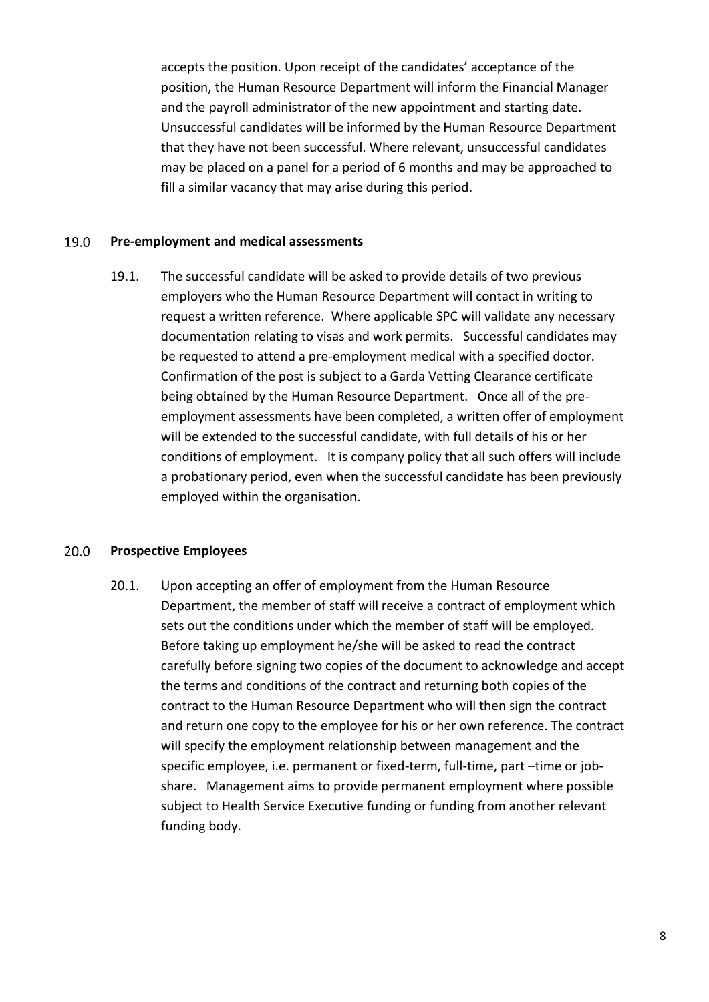accepts the position. Upon receipt of the candidates' acceptance of the position, the Human Resource Department will inform the Financial Manager and the payroll administrator of the new appointment and starting date. Unsuccessful candidates will be informed by the Human Resource Department that they have not been successful. Where relevant, unsuccessful candidates may be placed on a panel for a period of 6 months and may be approached to fill a similar vacancy that may arise during this period.

#### <span id="page-7-0"></span>19.0 **Pre-employment and medical assessments**

19.1. The successful candidate will be asked to provide details of two previous employers who the Human Resource Department will contact in writing to request a written reference. Where applicable SPC will validate any necessary documentation relating to visas and work permits. Successful candidates may be requested to attend a pre-employment medical with a specified doctor. Confirmation of the post is subject to a Garda Vetting Clearance certificate being obtained by the Human Resource Department. Once all of the preemployment assessments have been completed, a written offer of employment will be extended to the successful candidate, with full details of his or her conditions of employment. It is company policy that all such offers will include a probationary period, even when the successful candidate has been previously employed within the organisation.

#### <span id="page-7-1"></span>20.0 **Prospective Employees**

20.1. Upon accepting an offer of employment from the Human Resource Department, the member of staff will receive a contract of employment which sets out the conditions under which the member of staff will be employed. Before taking up employment he/she will be asked to read the contract carefully before signing two copies of the document to acknowledge and accept the terms and conditions of the contract and returning both copies of the contract to the Human Resource Department who will then sign the contract and return one copy to the employee for his or her own reference. The contract will specify the employment relationship between management and the specific employee, i.e. permanent or fixed-term, full-time, part –time or jobshare. Management aims to provide permanent employment where possible subject to Health Service Executive funding or funding from another relevant funding body.